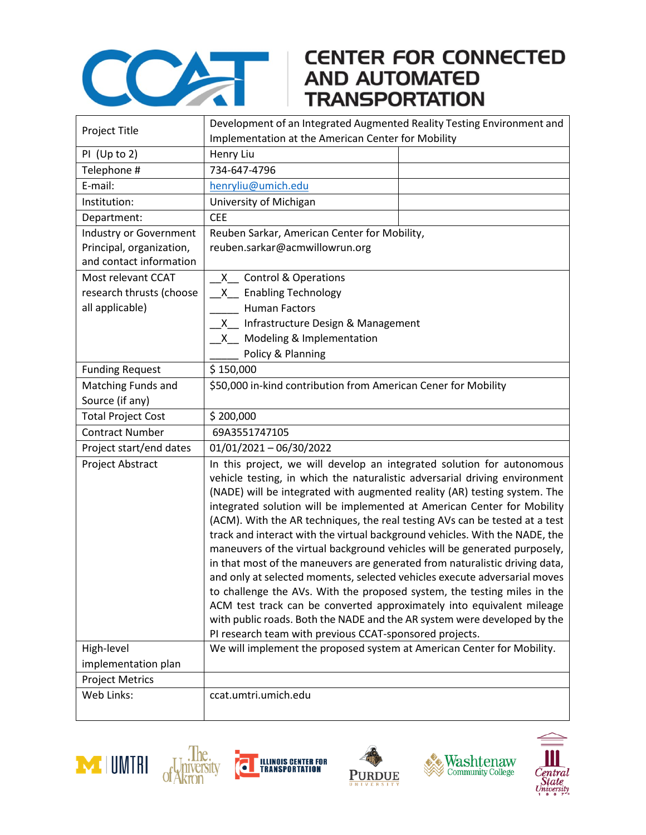

## **CENTER FOR CONNECTED**

|                                                    | Development of an Integrated Augmented Reality Testing Environment and                                                                                                                                                                                                                                                                                                                                                                                                                                                                                                                                                                                                                                                                                                                                                                                                                                                                                                                                          |  |
|----------------------------------------------------|-----------------------------------------------------------------------------------------------------------------------------------------------------------------------------------------------------------------------------------------------------------------------------------------------------------------------------------------------------------------------------------------------------------------------------------------------------------------------------------------------------------------------------------------------------------------------------------------------------------------------------------------------------------------------------------------------------------------------------------------------------------------------------------------------------------------------------------------------------------------------------------------------------------------------------------------------------------------------------------------------------------------|--|
| Project Title                                      | Implementation at the American Center for Mobility                                                                                                                                                                                                                                                                                                                                                                                                                                                                                                                                                                                                                                                                                                                                                                                                                                                                                                                                                              |  |
| PI (Up to 2)                                       | Henry Liu                                                                                                                                                                                                                                                                                                                                                                                                                                                                                                                                                                                                                                                                                                                                                                                                                                                                                                                                                                                                       |  |
| Telephone #                                        | 734-647-4796                                                                                                                                                                                                                                                                                                                                                                                                                                                                                                                                                                                                                                                                                                                                                                                                                                                                                                                                                                                                    |  |
| E-mail:                                            | henryliu@umich.edu                                                                                                                                                                                                                                                                                                                                                                                                                                                                                                                                                                                                                                                                                                                                                                                                                                                                                                                                                                                              |  |
| Institution:                                       | University of Michigan                                                                                                                                                                                                                                                                                                                                                                                                                                                                                                                                                                                                                                                                                                                                                                                                                                                                                                                                                                                          |  |
| Department:                                        | <b>CEE</b>                                                                                                                                                                                                                                                                                                                                                                                                                                                                                                                                                                                                                                                                                                                                                                                                                                                                                                                                                                                                      |  |
| Industry or Government<br>Principal, organization, | Reuben Sarkar, American Center for Mobility,<br>reuben.sarkar@acmwillowrun.org                                                                                                                                                                                                                                                                                                                                                                                                                                                                                                                                                                                                                                                                                                                                                                                                                                                                                                                                  |  |
| and contact information                            |                                                                                                                                                                                                                                                                                                                                                                                                                                                                                                                                                                                                                                                                                                                                                                                                                                                                                                                                                                                                                 |  |
| Most relevant CCAT                                 | X_ Control & Operations                                                                                                                                                                                                                                                                                                                                                                                                                                                                                                                                                                                                                                                                                                                                                                                                                                                                                                                                                                                         |  |
| research thrusts (choose                           | X_ Enabling Technology                                                                                                                                                                                                                                                                                                                                                                                                                                                                                                                                                                                                                                                                                                                                                                                                                                                                                                                                                                                          |  |
| all applicable)                                    | <b>Human Factors</b>                                                                                                                                                                                                                                                                                                                                                                                                                                                                                                                                                                                                                                                                                                                                                                                                                                                                                                                                                                                            |  |
|                                                    | Infrastructure Design & Management<br>X —                                                                                                                                                                                                                                                                                                                                                                                                                                                                                                                                                                                                                                                                                                                                                                                                                                                                                                                                                                       |  |
|                                                    | Modeling & Implementation<br>X —                                                                                                                                                                                                                                                                                                                                                                                                                                                                                                                                                                                                                                                                                                                                                                                                                                                                                                                                                                                |  |
|                                                    | Policy & Planning                                                                                                                                                                                                                                                                                                                                                                                                                                                                                                                                                                                                                                                                                                                                                                                                                                                                                                                                                                                               |  |
| <b>Funding Request</b>                             | \$150,000                                                                                                                                                                                                                                                                                                                                                                                                                                                                                                                                                                                                                                                                                                                                                                                                                                                                                                                                                                                                       |  |
| Matching Funds and                                 | \$50,000 in-kind contribution from American Cener for Mobility                                                                                                                                                                                                                                                                                                                                                                                                                                                                                                                                                                                                                                                                                                                                                                                                                                                                                                                                                  |  |
| Source (if any)                                    |                                                                                                                                                                                                                                                                                                                                                                                                                                                                                                                                                                                                                                                                                                                                                                                                                                                                                                                                                                                                                 |  |
| <b>Total Project Cost</b>                          | \$200,000                                                                                                                                                                                                                                                                                                                                                                                                                                                                                                                                                                                                                                                                                                                                                                                                                                                                                                                                                                                                       |  |
| <b>Contract Number</b>                             | 69A3551747105                                                                                                                                                                                                                                                                                                                                                                                                                                                                                                                                                                                                                                                                                                                                                                                                                                                                                                                                                                                                   |  |
| Project start/end dates                            | $01/01/2021 - 06/30/2022$                                                                                                                                                                                                                                                                                                                                                                                                                                                                                                                                                                                                                                                                                                                                                                                                                                                                                                                                                                                       |  |
| Project Abstract                                   | In this project, we will develop an integrated solution for autonomous<br>vehicle testing, in which the naturalistic adversarial driving environment<br>(NADE) will be integrated with augmented reality (AR) testing system. The<br>integrated solution will be implemented at American Center for Mobility<br>(ACM). With the AR techniques, the real testing AVs can be tested at a test<br>track and interact with the virtual background vehicles. With the NADE, the<br>maneuvers of the virtual background vehicles will be generated purposely,<br>in that most of the maneuvers are generated from naturalistic driving data,<br>and only at selected moments, selected vehicles execute adversarial moves<br>to challenge the AVs. With the proposed system, the testing miles in the<br>ACM test track can be converted approximately into equivalent mileage<br>with public roads. Both the NADE and the AR system were developed by the<br>PI research team with previous CCAT-sponsored projects. |  |
| High-level                                         | We will implement the proposed system at American Center for Mobility.                                                                                                                                                                                                                                                                                                                                                                                                                                                                                                                                                                                                                                                                                                                                                                                                                                                                                                                                          |  |
| implementation plan                                |                                                                                                                                                                                                                                                                                                                                                                                                                                                                                                                                                                                                                                                                                                                                                                                                                                                                                                                                                                                                                 |  |
| <b>Project Metrics</b>                             |                                                                                                                                                                                                                                                                                                                                                                                                                                                                                                                                                                                                                                                                                                                                                                                                                                                                                                                                                                                                                 |  |
| Web Links:                                         | ccat.umtri.umich.edu                                                                                                                                                                                                                                                                                                                                                                                                                                                                                                                                                                                                                                                                                                                                                                                                                                                                                                                                                                                            |  |